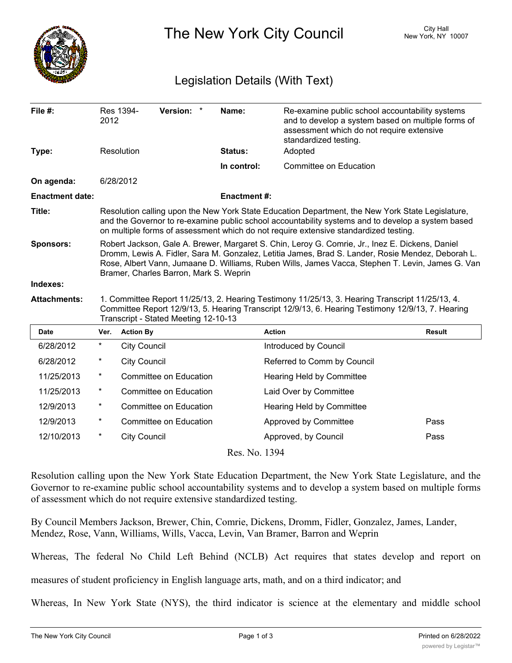

The New York City Council New York, NY 10007

## Legislation Details (With Text)

| File $#$ :             | 2012                                                                                                                                                                                                                                                                                                                                               | Res 1394-           | Version: *                    | Name:              | Re-examine public school accountability systems<br>and to develop a system based on multiple forms of<br>assessment which do not require extensive<br>standardized testing. |               |
|------------------------|----------------------------------------------------------------------------------------------------------------------------------------------------------------------------------------------------------------------------------------------------------------------------------------------------------------------------------------------------|---------------------|-------------------------------|--------------------|-----------------------------------------------------------------------------------------------------------------------------------------------------------------------------|---------------|
| Type:                  |                                                                                                                                                                                                                                                                                                                                                    | Resolution          |                               | Status:            | Adopted                                                                                                                                                                     |               |
|                        |                                                                                                                                                                                                                                                                                                                                                    |                     |                               | In control:        | Committee on Education                                                                                                                                                      |               |
| On agenda:             |                                                                                                                                                                                                                                                                                                                                                    | 6/28/2012           |                               |                    |                                                                                                                                                                             |               |
| <b>Enactment date:</b> |                                                                                                                                                                                                                                                                                                                                                    |                     |                               | <b>Enactment#:</b> |                                                                                                                                                                             |               |
| Title:                 | Resolution calling upon the New York State Education Department, the New York State Legislature,<br>and the Governor to re-examine public school accountability systems and to develop a system based<br>on multiple forms of assessment which do not require extensive standardized testing.                                                      |                     |                               |                    |                                                                                                                                                                             |               |
| <b>Sponsors:</b>       | Robert Jackson, Gale A. Brewer, Margaret S. Chin, Leroy G. Comrie, Jr., Inez E. Dickens, Daniel<br>Dromm, Lewis A. Fidler, Sara M. Gonzalez, Letitia James, Brad S. Lander, Rosie Mendez, Deborah L.<br>Rose, Albert Vann, Jumaane D. Williams, Ruben Wills, James Vacca, Stephen T. Levin, James G. Van<br>Bramer, Charles Barron, Mark S. Weprin |                     |                               |                    |                                                                                                                                                                             |               |
| Indexes:               |                                                                                                                                                                                                                                                                                                                                                    |                     |                               |                    |                                                                                                                                                                             |               |
| <b>Attachments:</b>    | 1. Committee Report 11/25/13, 2. Hearing Testimony 11/25/13, 3. Hearing Transcript 11/25/13, 4.<br>Committee Report 12/9/13, 5. Hearing Transcript 12/9/13, 6. Hearing Testimony 12/9/13, 7. Hearing<br>Transcript - Stated Meeting 12-10-13                                                                                                       |                     |                               |                    |                                                                                                                                                                             |               |
| Date                   | Ver.                                                                                                                                                                                                                                                                                                                                               | <b>Action By</b>    |                               |                    | <b>Action</b>                                                                                                                                                               | <b>Result</b> |
| 6/28/2012              | $^\star$                                                                                                                                                                                                                                                                                                                                           | <b>City Council</b> |                               |                    | Introduced by Council                                                                                                                                                       |               |
| 6/28/2012              | $^\star$                                                                                                                                                                                                                                                                                                                                           | <b>City Council</b> |                               |                    | Referred to Comm by Council                                                                                                                                                 |               |
| 11/25/2013             | $\ast$                                                                                                                                                                                                                                                                                                                                             |                     | <b>Committee on Education</b> |                    | Hearing Held by Committee                                                                                                                                                   |               |
| 11/25/2013             | $^\star$                                                                                                                                                                                                                                                                                                                                           |                     | <b>Committee on Education</b> |                    | Laid Over by Committee                                                                                                                                                      |               |
| 12/9/2013              | $^\star$                                                                                                                                                                                                                                                                                                                                           |                     | Committee on Education        |                    | Hearing Held by Committee                                                                                                                                                   |               |
| 12/9/2013              | $\ast$                                                                                                                                                                                                                                                                                                                                             |                     | <b>Committee on Education</b> |                    | Approved by Committee                                                                                                                                                       | Pass          |
| 12/10/2013             | $^\star$                                                                                                                                                                                                                                                                                                                                           | <b>City Council</b> |                               |                    | Approved, by Council                                                                                                                                                        | Pass          |

Res. No. 1394

Resolution calling upon the New York State Education Department, the New York State Legislature, and the Governor to re-examine public school accountability systems and to develop a system based on multiple forms of assessment which do not require extensive standardized testing.

By Council Members Jackson, Brewer, Chin, Comrie, Dickens, Dromm, Fidler, Gonzalez, James, Lander, Mendez, Rose, Vann, Williams, Wills, Vacca, Levin, Van Bramer, Barron and Weprin

Whereas, The federal No Child Left Behind (NCLB) Act requires that states develop and report on

measures of student proficiency in English language arts, math, and on a third indicator; and

Whereas, In New York State (NYS), the third indicator is science at the elementary and middle school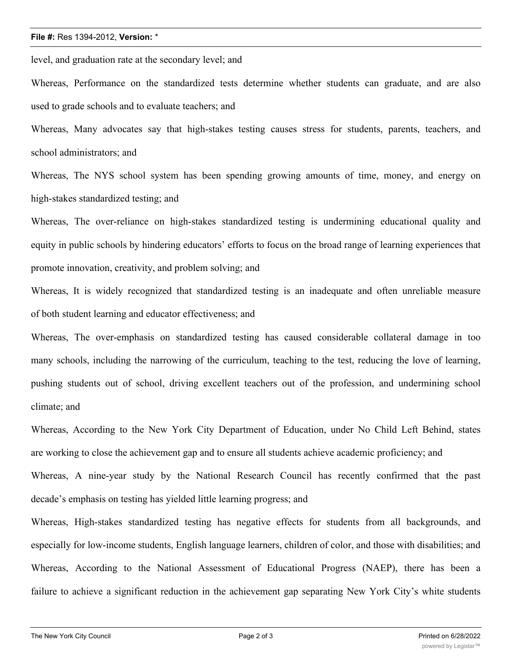## **File #:** Res 1394-2012, **Version:** \*

level, and graduation rate at the secondary level; and

Whereas, Performance on the standardized tests determine whether students can graduate, and are also used to grade schools and to evaluate teachers; and

Whereas, Many advocates say that high-stakes testing causes stress for students, parents, teachers, and school administrators; and

Whereas, The NYS school system has been spending growing amounts of time, money, and energy on high-stakes standardized testing; and

Whereas, The over-reliance on high-stakes standardized testing is undermining educational quality and equity in public schools by hindering educators' efforts to focus on the broad range of learning experiences that promote innovation, creativity, and problem solving; and

Whereas, It is widely recognized that standardized testing is an inadequate and often unreliable measure of both student learning and educator effectiveness; and

Whereas, The over-emphasis on standardized testing has caused considerable collateral damage in too many schools, including the narrowing of the curriculum, teaching to the test, reducing the love of learning, pushing students out of school, driving excellent teachers out of the profession, and undermining school climate; and

Whereas, According to the New York City Department of Education, under No Child Left Behind, states are working to close the achievement gap and to ensure all students achieve academic proficiency; and

Whereas, A nine-year study by the National Research Council has recently confirmed that the past decade's emphasis on testing has yielded little learning progress; and

Whereas, High-stakes standardized testing has negative effects for students from all backgrounds, and especially for low-income students, English language learners, children of color, and those with disabilities; and Whereas, According to the National Assessment of Educational Progress (NAEP), there has been a failure to achieve a significant reduction in the achievement gap separating New York City's white students